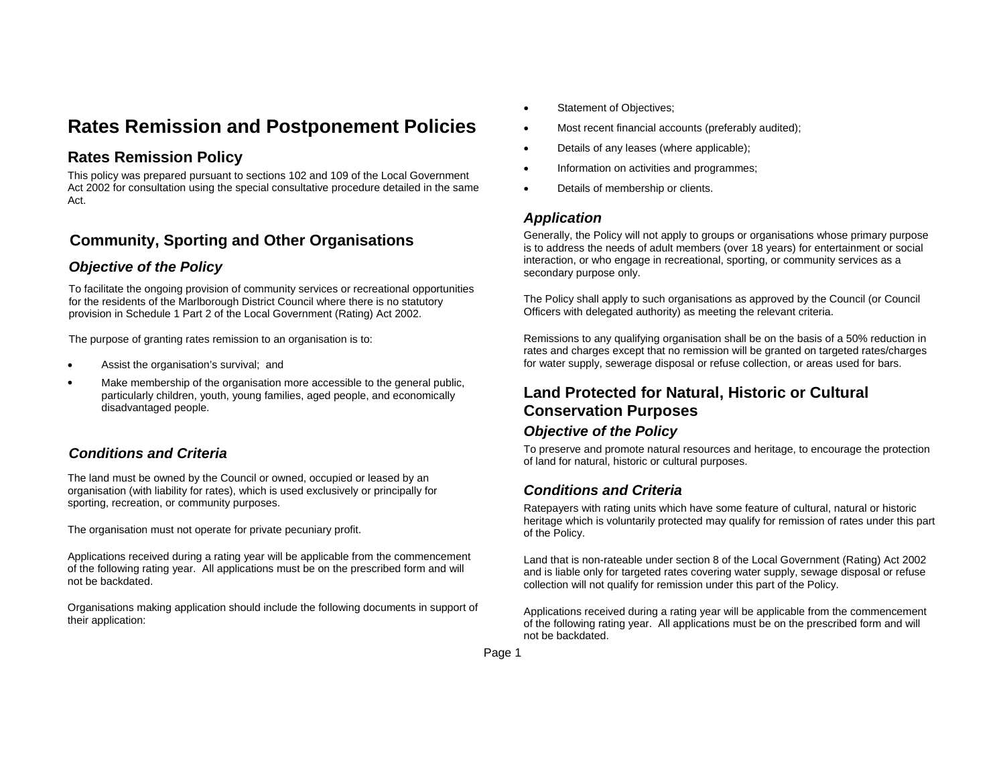# **Rates Remission and Postponement Policies**

# **Rates Remission Policy**

This policy was prepared pursuant to sections 102 and 109 of the Local Government Act 2002 for consultation using the special consultative procedure detailed in the same Act.

# **Community, Sporting and Other Organisations**

### *Objective of the Policy*

To facilitate the ongoing provision of community services or recreational opportunities for the residents of the Marlborough District Council where there is no statutory provision in Schedule 1 Part 2 of the Local Government (Rating) Act 2002.

The purpose of granting rates remission to an organisation is to:

- . Assist the organisation's survival; and
- $\bullet$  Make membership of the organisation more accessible to the general public, particularly children, youth, young families, aged people, and economically disadvantaged people.

# *Conditions and Criteria*

The land must be owned by the Council or owned, occupied or leased by an organisation (with liability for rates), which is used exclusively or principally for sporting, recreation, or community purposes.

The organisation must not operate for private pecuniary profit.

Applications received during a rating year will be applicable from the commencement of the following rating year. All applications must be on the prescribed form and will not be backdated.

Organisations making application should include the following documents in support of their application:

- $\bullet$ Statement of Objectives;
- $\bullet$ Most recent financial accounts (preferably audited);
- $\bullet$ Details of any leases (where applicable);
- e Information on activities and programmes;
- e Details of membership or clients.

#### *Application*

Generally, the Policy will not apply to groups or organisations whose primary purpose is to address the needs of adult members (over 18 years) for entertainment or social interaction, or who engage in recreational, sporting, or community services as a secondary purpose only.

The Policy shall apply to such organisations as approved by the Council (or Council Officers with delegated authority) as meeting the relevant criteria.

Remissions to any qualifying organisation shall be on the basis of a 50% reduction in rates and charges except that no remission will be granted on targeted rates/charges for water supply, sewerage disposal or refuse collection, or areas used for bars.

# **Land Protected for Natural, Historic or Cultural Conservation Purposes**

#### *Objective of the Policy*

To preserve and promote natural resources and heritage, to encourage the protection of land for natural, historic or cultural purposes.

### *Conditions and Criteria*

Ratepayers with rating units which have some feature of cultural, natural or historic heritage which is voluntarily protected may qualify for remission of rates under this part of the Policy.

Land that is non-rateable under section 8 of the Local Government (Rating) Act 2002 and is liable only for targeted rates covering water supply, sewage disposal or refuse collection will not qualify for remission under this part of the Policy.

Applications received during a rating year will be applicable from the commencement of the following rating year. All applications must be on the prescribed form and will not be backdated.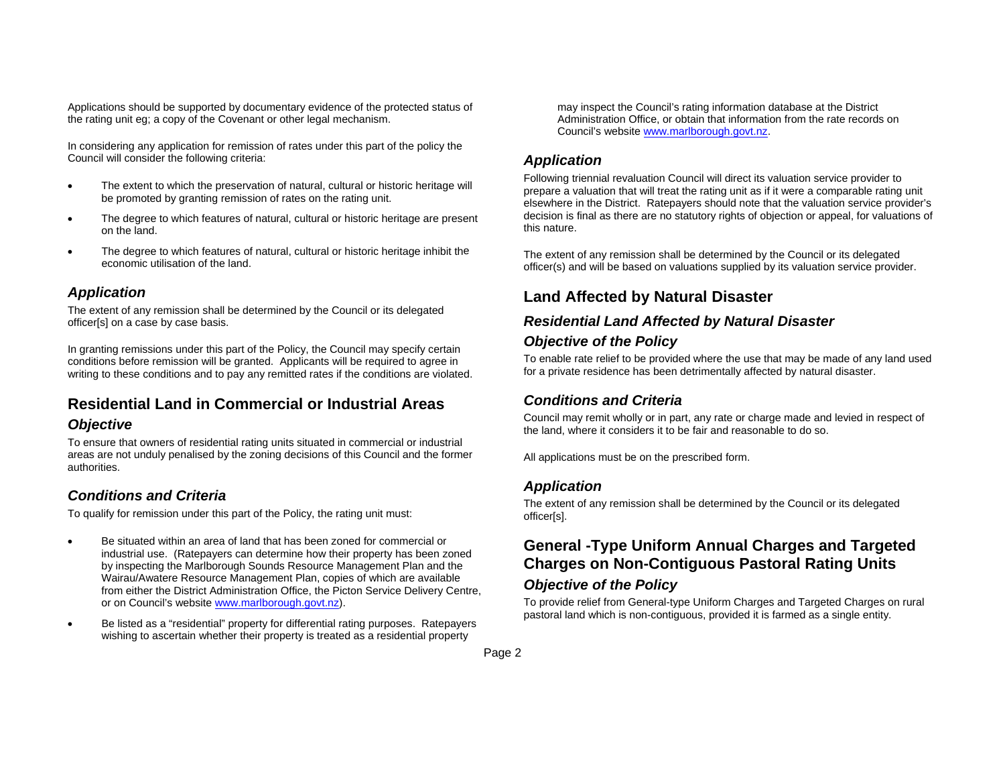Applications should be supported by documentary evidence of the protected status of the rating unit eg; a copy of the Covenant or other legal mechanism.

In considering any application for remission of rates under this part of the policy the Council will consider the following criteria:

- $\bullet$  The extent to which the preservation of natural, cultural or historic heritage will be promoted by granting remission of rates on the rating unit.
- . The degree to which features of natural, cultural or historic heritage are present on the land.
- . The degree to which features of natural, cultural or historic heritage inhibit the economic utilisation of the land.

#### *Application*

The extent of any remission shall be determined by the Council or its delegated officer[s] on a case by case basis.

In granting remissions under this part of the Policy, the Council may specify certain conditions before remission will be granted. Applicants will be required to agree in writing to these conditions and to pay any remitted rates if the conditions are violated.

# **Residential Land in Commercial or Industrial Areas**

#### *Objective*

To ensure that owners of residential rating units situated in commercial or industrial areas are not unduly penalised by the zoning decisions of this Council and the former authorities.

### *Conditions and Criteria*

To qualify for remission under this part of the Policy, the rating unit must:

- . Be situated within an area of land that has been zoned for commercial or industrial use. (Ratepayers can determine how their property has been zoned by inspecting the Marlborough Sounds Resource Management Plan and the Wairau/Awatere Resource Management Plan, copies of which are available from either the District Administration Office, the Picton Service Delivery Centre, or on Council's website www.marlborough.govt.nz).
- $\bullet$  Be listed as a "residential" property for differential rating purposes. Ratepayers wishing to ascertain whether their property is treated as a residential property

may inspect the Council's rating information database at the District Administration Office, or obtain that information from the rate records on Council's website www.marlborough.govt.nz.

#### *Application*

Following triennial revaluation Council will direct its valuation service provider to prepare a valuation that will treat the rating unit as if it were a comparable rating unit elsewhere in the District. Ratepayers should note that the valuation service provider's decision is final as there are no statutory rights of objection or appeal, for valuations of this nature.

The extent of any remission shall be determined by the Council or its delegated officer(s) and will be based on valuations supplied by its valuation service provider.

# **Land Affected by Natural Disaster**

### *Residential Land Affected by Natural Disaster Objective of the Policy*

To enable rate relief to be provided where the use that may be made of any land used for a private residence has been detrimentally affected by natural disaster.

#### *Conditions and Criteria*

Council may remit wholly or in part, any rate or charge made and levied in respect of the land, where it considers it to be fair and reasonable to do so.

All applications must be on the prescribed form.

#### *Application*

The extent of any remission shall be determined by the Council or its delegated officer[s].

### **General -Type Uniform Annual Charges and Targeted Charges on Non-Contiguous Pastoral Rating Units**

#### *Objective of the Policy*

To provide relief from General-type Uniform Charges and Targeted Charges on rural pastoral land which is non-contiguous, provided it is farmed as a single entity.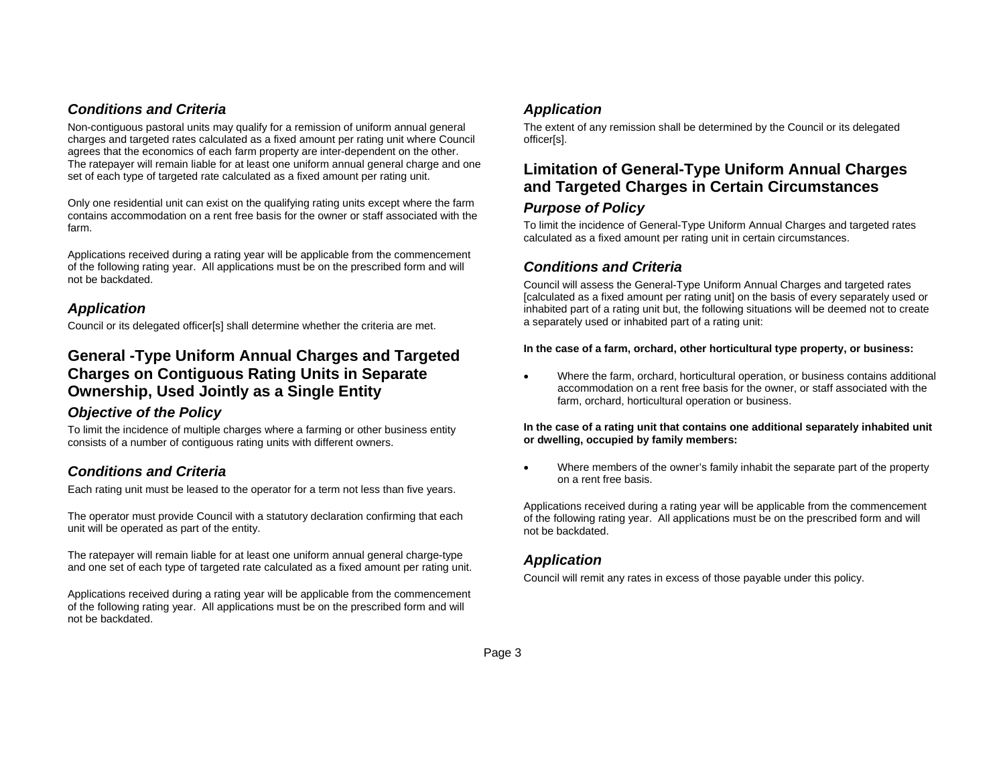#### *Conditions and Criteria*

Non-contiguous pastoral units may qualify for a remission of uniform annual general charges and targeted rates calculated as a fixed amount per rating unit where Council agrees that the economics of each farm property are inter-dependent on the other. The ratepayer will remain liable for at least one uniform annual general charge and one set of each type of targeted rate calculated as a fixed amount per rating unit.

Only one residential unit can exist on the qualifying rating units except where the farm contains accommodation on a rent free basis for the owner or staff associated with the farm.

Applications received during a rating year will be applicable from the commencement of the following rating year. All applications must be on the prescribed form and will not be backdated.

#### *Application*

Council or its delegated officer[s] shall determine whether the criteria are met.

# **General -Type Uniform Annual Charges and Targeted Charges on Contiguous Rating Units in Separate Ownership, Used Jointly as a Single Entity**

#### *Objective of the Policy*

To limit the incidence of multiple charges where a farming or other business entity consists of a number of contiguous rating units with different owners.

### *Conditions and Criteria*

Each rating unit must be leased to the operator for a term not less than five years.

The operator must provide Council with a statutory declaration confirming that each unit will be operated as part of the entity.

The ratepayer will remain liable for at least one uniform annual general charge-type and one set of each type of targeted rate calculated as a fixed amount per rating unit.

Applications received during a rating year will be applicable from the commencement of the following rating year. All applications must be on the prescribed form and will not be backdated.

### *Application*

The extent of any remission shall be determined by the Council or its delegated officer[s].

# **Limitation of General-Type Uniform Annual Charges and Targeted Charges in Certain Circumstances**  *Purpose of Policy*

To limit the incidence of General-Type Uniform Annual Charges and targeted rates calculated as a fixed amount per rating unit in certain circumstances.

### *Conditions and Criteria*

Council will assess the General-Type Uniform Annual Charges and targeted rates [calculated as a fixed amount per rating unit] on the basis of every separately used or inhabited part of a rating unit but, the following situations will be deemed not to create a separately used or inhabited part of a rating unit:

#### **In the case of a farm, orchard, other horticultural type property, or business:**

e Where the farm, orchard, horticultural operation, or business contains additional accommodation on a rent free basis for the owner, or staff associated with the farm, orchard, horticultural operation or business.

#### **In the case of a rating unit that contains one additional separately inhabited unit or dwelling, occupied by family members:**

 $\bullet$  Where members of the owner's family inhabit the separate part of the property on a rent free basis.

Applications received during a rating year will be applicable from the commencement of the following rating year. All applications must be on the prescribed form and will not be backdated.

#### *Application*

Council will remit any rates in excess of those payable under this policy.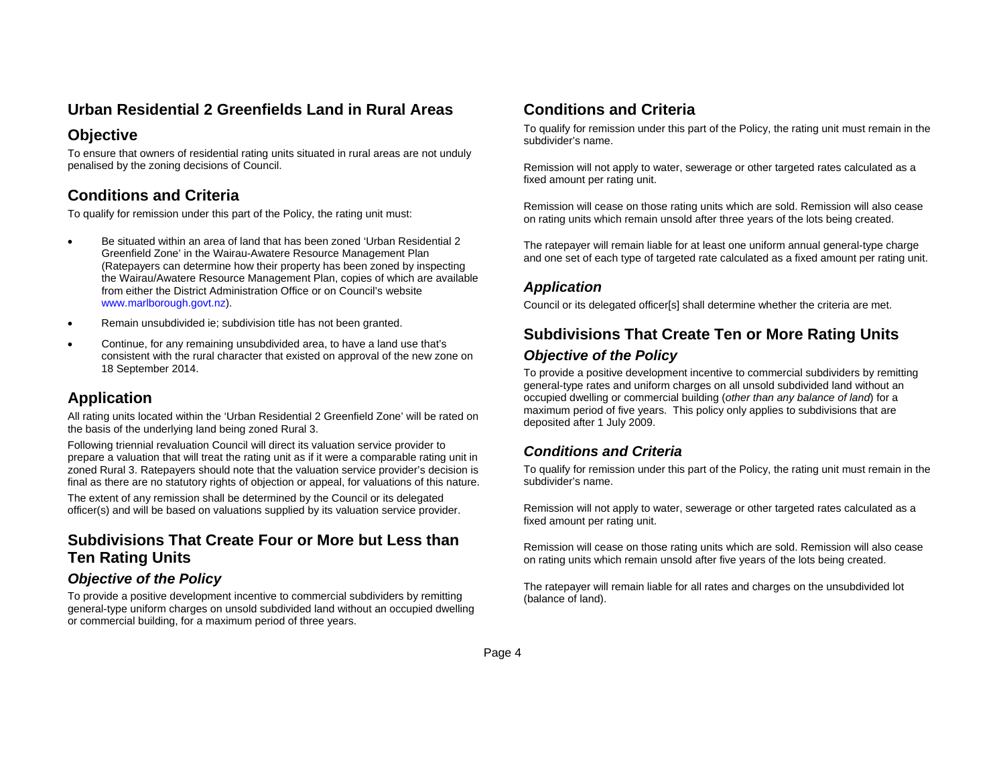# **Urban Residential 2 Greenfields Land in Rural Areas**

# **Objective**

To ensure that owners of residential rating units situated in rural areas are not unduly penalised by the zoning decisions of Council.

# **Conditions and Criteria**

To qualify for remission under this part of the Policy, the rating unit must:

- $\bullet$  Be situated within an area of land that has been zoned 'Urban Residential 2 Greenfield Zone' in the Wairau-Awatere Resource Management Plan (Ratepayers can determine how their property has been zoned by inspecting the Wairau/Awatere Resource Management Plan, copies of which are available from either the District Administration Office or on Council's website www.marlborough.govt.nz).
- $\bullet$ Remain unsubdivided ie; subdivision title has not been granted.
- . Continue, for any remaining unsubdivided area, to have a land use that's consistent with the rural character that existed on approval of the new zone on 18 September 2014.

# **Application**

All rating units located within the 'Urban Residential 2 Greenfield Zone' will be rated on the basis of the underlying land being zoned Rural 3.

Following triennial revaluation Council will direct its valuation service provider to prepare a valuation that will treat the rating unit as if it were a comparable rating unit in zoned Rural 3. Ratepayers should note that the valuation service provider's decision is final as there are no statutory rights of objection or appeal, for valuations of this nature.

The extent of any remission shall be determined by the Council or its delegated officer(s) and will be based on valuations supplied by its valuation service provider.

# **Subdivisions That Create Four or More but Less than Ten Rating Units**

### *Objective of the Policy*

To provide a positive development incentive to commercial subdividers by remitting general-type uniform charges on unsold subdivided land without an occupied dwelling or commercial building, for a maximum period of three years.

# **Conditions and Criteria**

To qualify for remission under this part of the Policy, the rating unit must remain in the subdivider's name.

Remission will not apply to water, sewerage or other targeted rates calculated as a fixed amount per rating unit.

Remission will cease on those rating units which are sold. Remission will also cease on rating units which remain unsold after three years of the lots being created.

The ratepayer will remain liable for at least one uniform annual general-type charge and one set of each type of targeted rate calculated as a fixed amount per rating unit.

#### *Application*

Council or its delegated officer[s] shall determine whether the criteria are met.

# **Subdivisions That Create Ten or More Rating Units**  *Objective of the Policy*

To provide a positive development incentive to commercial subdividers by remitting general-type rates and uniform charges on all unsold subdivided land without an occupied dwelling or commercial building (*other than any balance of land*) for a maximum period of five years. This policy only applies to subdivisions that are deposited after 1 July 2009.

### *Conditions and Criteria*

To qualify for remission under this part of the Policy, the rating unit must remain in the subdivider's name.

Remission will not apply to water, sewerage or other targeted rates calculated as a fixed amount per rating unit.

Remission will cease on those rating units which are sold. Remission will also cease on rating units which remain unsold after five years of the lots being created.

The ratepayer will remain liable for all rates and charges on the unsubdivided lot (balance of land).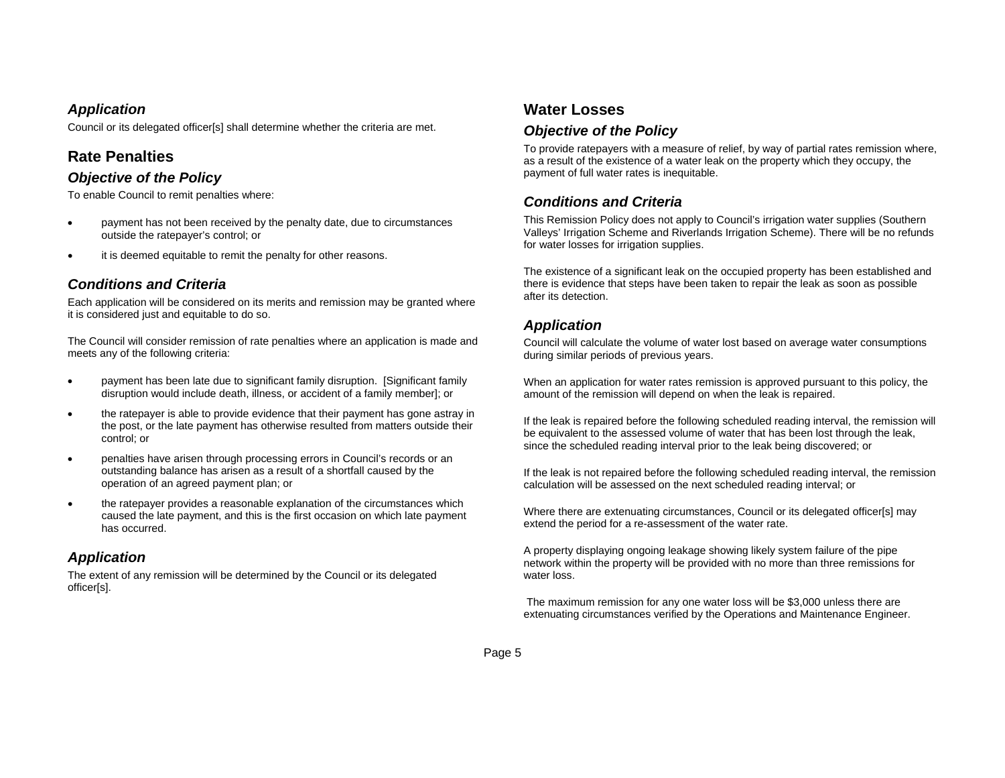#### *Application*

Council or its delegated officer[s] shall determine whether the criteria are met.

## **Rate Penalties**

#### *Objective of the Policy*

To enable Council to remit penalties where:

- $\bullet$  payment has not been received by the penalty date, due to circumstances outside the ratepayer's control; or
- $\bullet$ it is deemed equitable to remit the penalty for other reasons.

#### *Conditions and Criteria*

Each application will be considered on its merits and remission may be granted where it is considered just and equitable to do so.

The Council will consider remission of rate penalties where an application is made and meets any of the following criteria:

- $\bullet$  payment has been late due to significant family disruption. [Significant family disruption would include death, illness, or accident of a family member]; or
- $\bullet$  the ratepayer is able to provide evidence that their payment has gone astray in the post, or the late payment has otherwise resulted from matters outside their control; or
- $\bullet$  penalties have arisen through processing errors in Council's records or an outstanding balance has arisen as a result of a shortfall caused by the operation of an agreed payment plan; or
- $\bullet$  the ratepayer provides a reasonable explanation of the circumstances which caused the late payment, and this is the first occasion on which late payment has occurred.

### *Application*

The extent of any remission will be determined by the Council or its delegated officer[s].

## **Water Losses**

#### *Objective of the Policy*

To provide ratepayers with a measure of relief, by way of partial rates remission where, as a result of the existence of a water leak on the property which they occupy, the payment of full water rates is inequitable.

### *Conditions and Criteria*

This Remission Policy does not apply to Council's irrigation water supplies (Southern Valleys' Irrigation Scheme and Riverlands Irrigation Scheme). There will be no refunds for water losses for irrigation supplies.

The existence of a significant leak on the occupied property has been established and there is evidence that steps have been taken to repair the leak as soon as possible after its detection.

#### *Application*

Council will calculate the volume of water lost based on average water consumptions during similar periods of previous years.

When an application for water rates remission is approved pursuant to this policy, the amount of the remission will depend on when the leak is repaired.

If the leak is repaired before the following scheduled reading interval, the remission will be equivalent to the assessed volume of water that has been lost through the leak, since the scheduled reading interval prior to the leak being discovered; or

If the leak is not repaired before the following scheduled reading interval, the remission calculation will be assessed on the next scheduled reading interval; or

Where there are extenuating circumstances, Council or its delegated officer[s] may extend the period for a re-assessment of the water rate.

A property displaying ongoing leakage showing likely system failure of the pipe network within the property will be provided with no more than three remissions for water loss.

 The maximum remission for any one water loss will be \$3,000 unless there are extenuating circumstances verified by the Operations and Maintenance Engineer.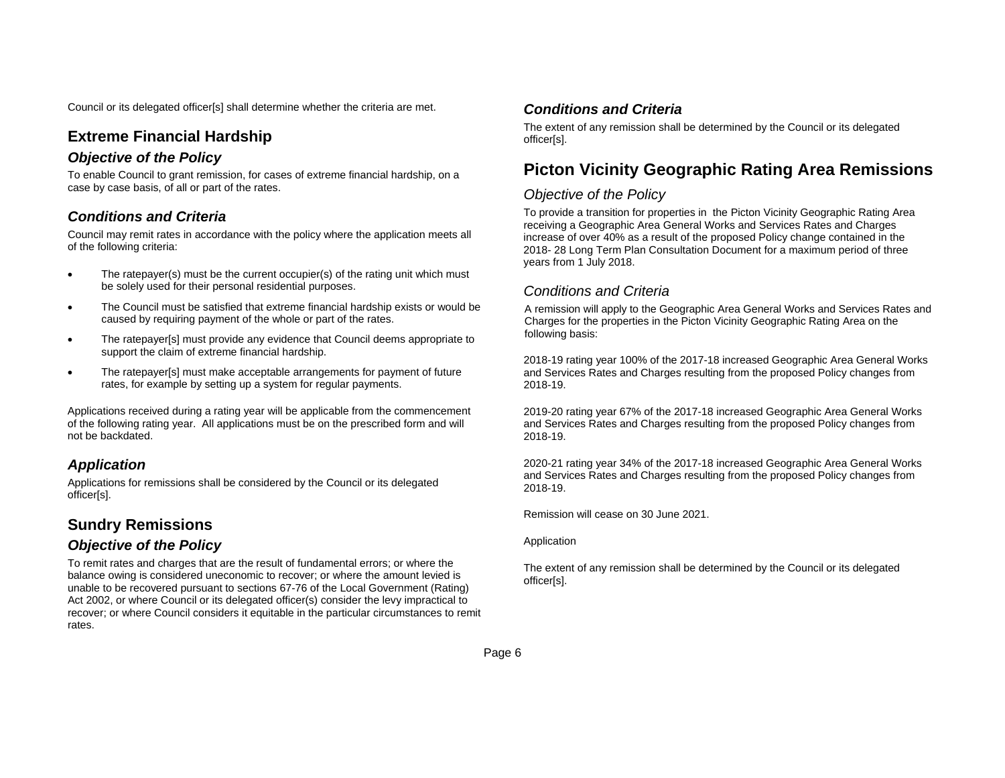Council or its delegated officer[s] shall determine whether the criteria are met.

# **Extreme Financial Hardship**

#### *Objective of the Policy*

To enable Council to grant remission, for cases of extreme financial hardship, on a case by case basis, of all or part of the rates.

#### *Conditions and Criteria*

Council may remit rates in accordance with the policy where the application meets all of the following criteria:

- $\bullet$  The ratepayer(s) must be the current occupier(s) of the rating unit which must be solely used for their personal residential purposes.
- $\bullet$  The Council must be satisfied that extreme financial hardship exists or would be caused by requiring payment of the whole or part of the rates.
- $\bullet$  The ratepayer[s] must provide any evidence that Council deems appropriate to support the claim of extreme financial hardship.
- $\bullet$  The ratepayer[s] must make acceptable arrangements for payment of future rates, for example by setting up a system for regular payments.

Applications received during a rating year will be applicable from the commencement of the following rating year. All applications must be on the prescribed form and will not be backdated.

# *Application*

Applications for remissions shall be considered by the Council or its delegated officer[s].

# **Sundry Remissions**

#### *Objective of the Policy*

To remit rates and charges that are the result of fundamental errors; or where the balance owing is considered uneconomic to recover; or where the amount levied is unable to be recovered pursuant to sections 67-76 of the Local Government (Rating) Act 2002, or where Council or its delegated officer(s) consider the levy impractical to recover; or where Council considers it equitable in the particular circumstances to remit rates.

#### *Conditions and Criteria*

The extent of any remission shall be determined by the Council or its delegated officer[s].

# **Picton Vicinity Geographic Rating Area Remissions**

#### *Objective of the Policy*

To provide a transition for properties in the Picton Vicinity Geographic Rating Area receiving a Geographic Area General Works and Services Rates and Charges increase of over 40% as a result of the proposed Policy change contained in the 2018- 28 Long Term Plan Consultation Document for a maximum period of three years from 1 July 2018.

#### *Conditions and Criteria*

A remission will apply to the Geographic Area General Works and Services Rates and Charges for the properties in the Picton Vicinity Geographic Rating Area on the following basis:

2018-19 rating year 100% of the 2017-18 increased Geographic Area General Works and Services Rates and Charges resulting from the proposed Policy changes from 2018-19.

2019-20 rating year 67% of the 2017-18 increased Geographic Area General Works and Services Rates and Charges resulting from the proposed Policy changes from 2018-19.

2020-21 rating year 34% of the 2017-18 increased Geographic Area General Works and Services Rates and Charges resulting from the proposed Policy changes from 2018-19.

Remission will cease on 30 June 2021.

Application

The extent of any remission shall be determined by the Council or its delegated officer[s].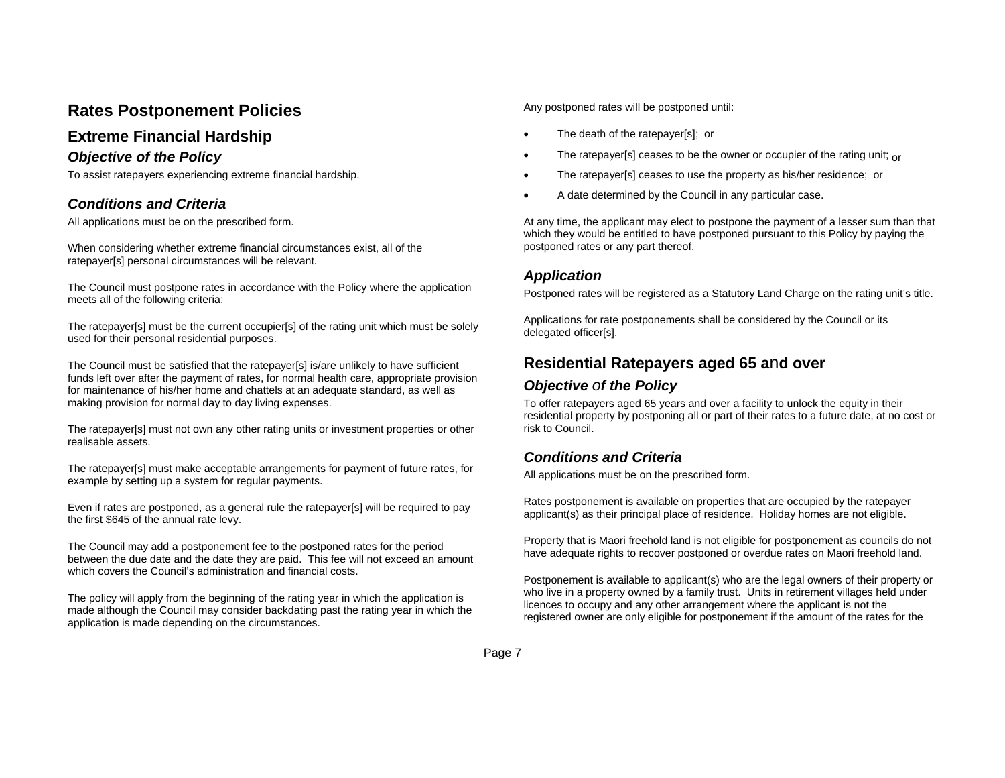# **Rates Postponement Policies**

# **Extreme Financial Hardship**

#### *Objective of the Policy*

To assist ratepayers experiencing extreme financial hardship.

## *Conditions and Criteria*

All applications must be on the prescribed form.

When considering whether extreme financial circumstances exist, all of the ratepayer[s] personal circumstances will be relevant.

The Council must postpone rates in accordance with the Policy where the application meets all of the following criteria:

The ratepayer[s] must be the current occupier[s] of the rating unit which must be solely used for their personal residential purposes.

The Council must be satisfied that the ratepayer[s] is/are unlikely to have sufficient funds left over after the payment of rates, for normal health care, appropriate provision for maintenance of his/her home and chattels at an adequate standard, as well as making provision for normal day to day living expenses.

The ratepayer[s] must not own any other rating units or investment properties or other realisable assets.

The ratepayer[s] must make acceptable arrangements for payment of future rates, for example by setting up a system for regular payments.

Even if rates are postponed, as a general rule the ratepayer[s] will be required to pay the first \$645 of the annual rate levy.

The Council may add a postponement fee to the postponed rates for the period between the due date and the date they are paid. This fee will not exceed an amount which covers the Council's administration and financial costs.

The policy will apply from the beginning of the rating year in which the application is made although the Council may consider backdating past the rating year in which the application is made depending on the circumstances.

Any postponed rates will be postponed until:

- $\bullet$ The death of the ratepayer[s]; or
- $\bullet$ The ratepayer[s] ceases to be the owner or occupier of the rating unit; or
- $\bullet$ The ratepayer[s] ceases to use the property as his/her residence; or
- e A date determined by the Council in any particular case.

At any time, the applicant may elect to postpone the payment of a lesser sum than that which they would be entitled to have postponed pursuant to this Policy by paying the postponed rates or any part thereof.

#### *Application*

Postponed rates will be registered as a Statutory Land Charge on the rating unit's title.

Applications for rate postponements shall be considered by the Council or its delegated officer[s].

# **Residential Ratepayers aged 65 a**n**d over**

#### *Objective of the Policy*

To offer ratepayers aged 65 years and over a facility to unlock the equity in their residential property by postponing all or part of their rates to a future date, at no cost or risk to Council.

### *Conditions and Criteria*

All applications must be on the prescribed form.

Rates postponement is available on properties that are occupied by the ratepayer applicant(s) as their principal place of residence. Holiday homes are not eligible.

Property that is Maori freehold land is not eligible for postponement as councils do not have adequate rights to recover postponed or overdue rates on Maori freehold land.

Postponement is available to applicant(s) who are the legal owners of their property or who live in a property owned by a family trust. Units in retirement villages held under licences to occupy and any other arrangement where the applicant is not the registered owner are only eligible for postponement if the amount of the rates for the